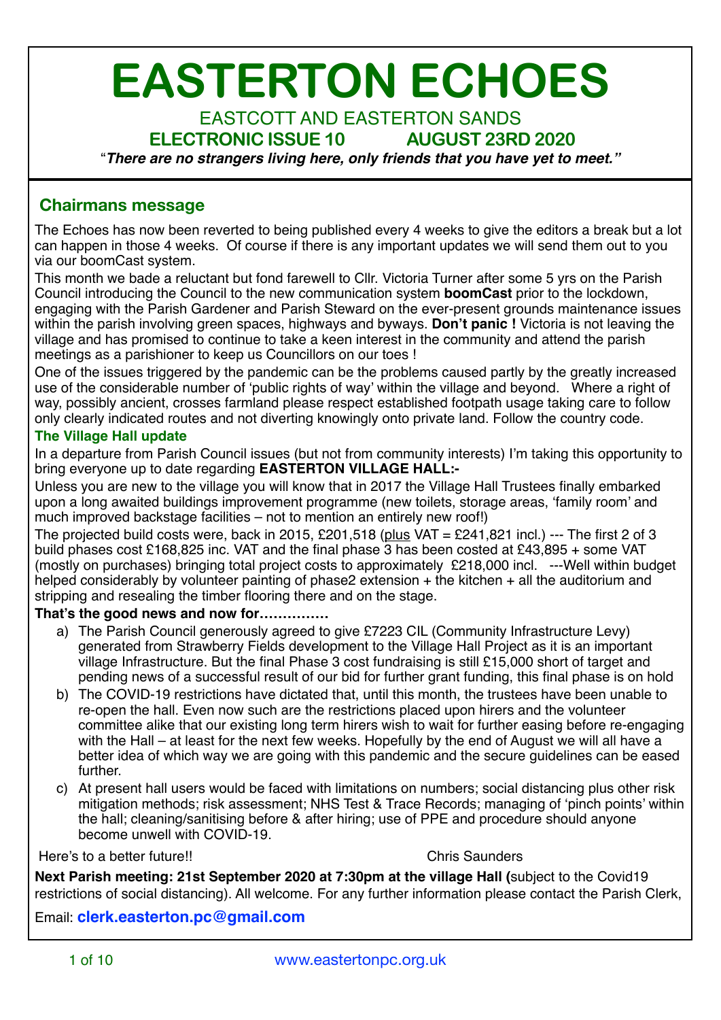# **EASTERTON ECHOES**

# EASTCOTT AND EASTERTON SANDS

### **ELECTRONIC ISSUE 10 AUGUST 23RD 2020**

"*There are no strangers living here, only friends that you have yet to meet."*

### **Chairmans message**

The Echoes has now been reverted to being published every 4 weeks to give the editors a break but a lot can happen in those 4 weeks. Of course if there is any important updates we will send them out to you via our boomCast system.

This month we bade a reluctant but fond farewell to Cllr. Victoria Turner after some 5 yrs on the Parish Council introducing the Council to the new communication system **boomCast** prior to the lockdown, engaging with the Parish Gardener and Parish Steward on the ever-present grounds maintenance issues within the parish involving green spaces, highways and byways. **Don't panic !** Victoria is not leaving the village and has promised to continue to take a keen interest in the community and attend the parish meetings as a parishioner to keep us Councillors on our toes !

One of the issues triggered by the pandemic can be the problems caused partly by the greatly increased use of the considerable number of 'public rights of way' within the village and beyond. Where a right of way, possibly ancient, crosses farmland please respect established footpath usage taking care to follow only clearly indicated routes and not diverting knowingly onto private land. Follow the country code.

### **The Village Hall update**

In a departure from Parish Council issues (but not from community interests) I'm taking this opportunity to bring everyone up to date regarding **EASTERTON VILLAGE HALL:-** 

Unless you are new to the village you will know that in 2017 the Village Hall Trustees finally embarked upon a long awaited buildings improvement programme (new toilets, storage areas, 'family room' and much improved backstage facilities – not to mention an entirely new roof!)

The projected build costs were, back in 2015, £201,518 (plus VAT = £241,821 incl.) --- The first 2 of 3 build phases cost £168,825 inc. VAT and the final phase 3 has been costed at £43,895 + some VAT (mostly on purchases) bringing total project costs to approximately £218,000 incl. ---Well within budget helped considerably by volunteer painting of phase2 extension + the kitchen + all the auditorium and stripping and resealing the timber flooring there and on the stage.

### **That's the good news and now for……………**

- a) The Parish Council generously agreed to give £7223 CIL (Community Infrastructure Levy) generated from Strawberry Fields development to the Village Hall Project as it is an important village Infrastructure. But the final Phase 3 cost fundraising is still £15,000 short of target and pending news of a successful result of our bid for further grant funding, this final phase is on hold
- b) The COVID-19 restrictions have dictated that, until this month, the trustees have been unable to re-open the hall. Even now such are the restrictions placed upon hirers and the volunteer committee alike that our existing long term hirers wish to wait for further easing before re-engaging with the Hall – at least for the next few weeks. Hopefully by the end of August we will all have a better idea of which way we are going with this pandemic and the secure guidelines can be eased further.
- c) At present hall users would be faced with limitations on numbers; social distancing plus other risk mitigation methods; risk assessment; NHS Test & Trace Records; managing of 'pinch points' within the hall; cleaning/sanitising before & after hiring; use of PPE and procedure should anyone become unwell with COVID-19.

### Here's to a better future!! Chris Saunders

**Next Parish meeting: 21st September 2020 at 7:30pm at the village Hall (**subject to the Covid19 restrictions of social distancing). All welcome. For any further information please contact the Parish Clerk,

Email: **[clerk.easterton.pc@gmail.com](mailto:clerk.easterton.pc@gmail.com)**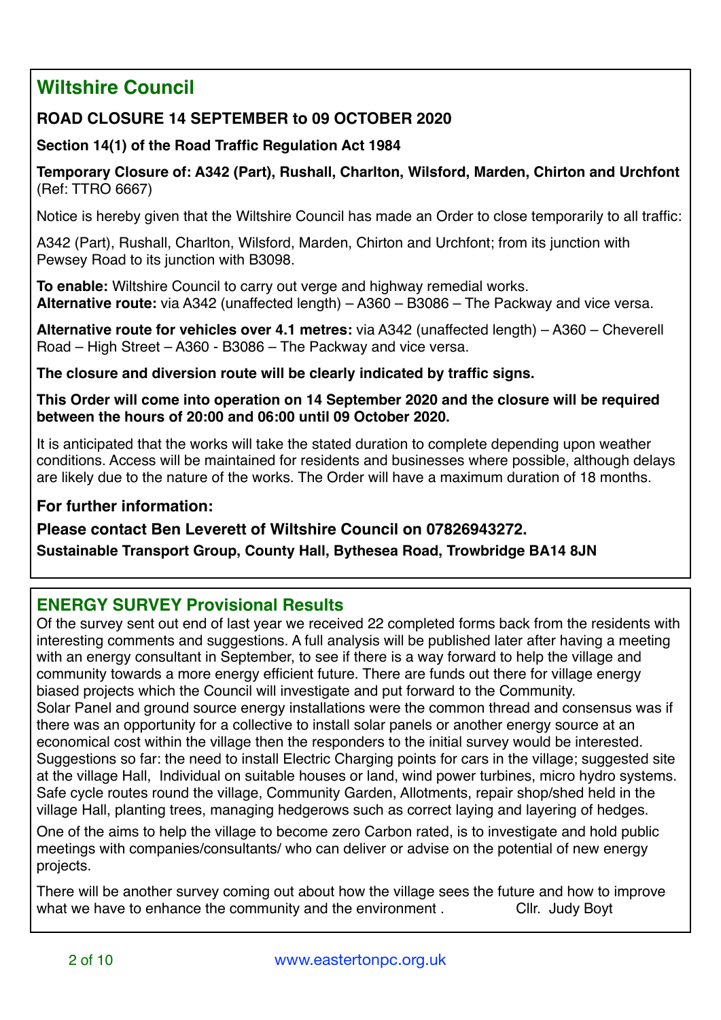# **Wiltshire Council**

### **ROAD CLOSURE 14 SEPTEMBER to 09 OCTOBER 2020**

### **Section 14(1) of the Road Traffic Regulation Act 1984**

**Temporary Closure of: A342 (Part), Rushall, Charlton, Wilsford, Marden, Chirton and Urchfont**  (Ref: TTRO 6667)

Notice is hereby given that the Wiltshire Council has made an Order to close temporarily to all traffic:

A342 (Part), Rushall, Charlton, Wilsford, Marden, Chirton and Urchfont; from its junction with Pewsey Road to its junction with B3098.

**To enable:** Wiltshire Council to carry out verge and highway remedial works. **Alternative route:** via A342 (unaffected length) – A360 – B3086 – The Packway and vice versa.

**Alternative route for vehicles over 4.1 metres:** via A342 (unaffected length) – A360 – Cheverell Road – High Street – A360 - B3086 – The Packway and vice versa.

**The closure and diversion route will be clearly indicated by traffic signs.** 

**This Order will come into operation on 14 September 2020 and the closure will be required between the hours of 20:00 and 06:00 until 09 October 2020.** 

It is anticipated that the works will take the stated duration to complete depending upon weather conditions. Access will be maintained for residents and businesses where possible, although delays are likely due to the nature of the works. The Order will have a maximum duration of 18 months.

### **For further information:**

### **Please contact Ben Leverett of Wiltshire Council on 07826943272.**

**Sustainable Transport Group, County Hall, Bythesea Road, Trowbridge BA14 8JN** 

### **ENERGY SURVEY Provisional Results**

Of the survey sent out end of last year we received 22 completed forms back from the residents with interesting comments and suggestions. A full analysis will be published later after having a meeting with an energy consultant in September, to see if there is a way forward to help the village and community towards a more energy efficient future. There are funds out there for village energy biased projects which the Council will investigate and put forward to the Community. Solar Panel and ground source energy installations were the common thread and consensus was if there was an opportunity for a collective to install solar panels or another energy source at an economical cost within the village then the responders to the initial survey would be interested.

Suggestions so far: the need to install Electric Charging points for cars in the village; suggested site at the village Hall, Individual on suitable houses or land, wind power turbines, micro hydro systems. Safe cycle routes round the village, Community Garden, Allotments, repair shop/shed held in the village Hall, planting trees, managing hedgerows such as correct laying and layering of hedges.

One of the aims to help the village to become zero Carbon rated, is to investigate and hold public meetings with companies/consultants/ who can deliver or advise on the potential of new energy projects.

There will be another survey coming out about how the village sees the future and how to improve what we have to enhance the community and the environment . Cllr. Judy Boyt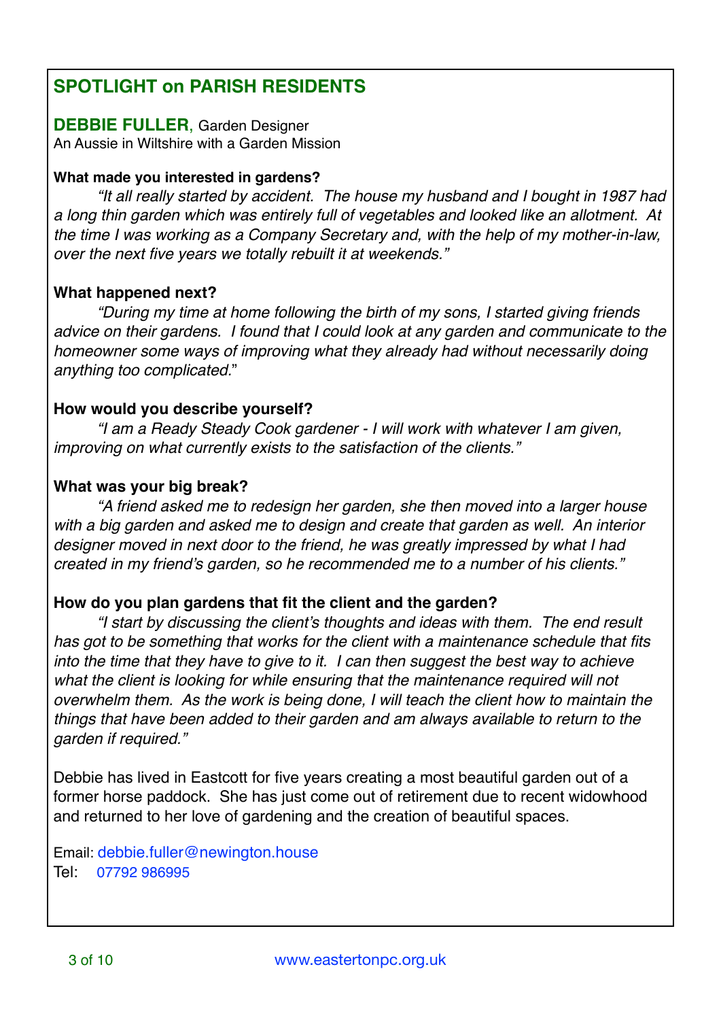## **SPOTLIGHT on PARISH RESIDENTS**

# **DEBBIE FULLER**, Garden Designer

An Aussie in Wiltshire with a Garden Mission

### **What made you interested in gardens?**

*"It all really started by accident. The house my husband and I bought in 1987 had a long thin garden which was entirely full of vegetables and looked like an allotment. At the time I was working as a Company Secretary and, with the help of my mother-in-law, over the next five years we totally rebuilt it at weekends."*

### **What happened next?**

*"During my time at home following the birth of my sons, I started giving friends advice on their gardens. I found that I could look at any garden and communicate to the homeowner some ways of improving what they already had without necessarily doing anything too complicated.*"

### **How would you describe yourself?**

*"I am a Ready Steady Cook gardener - I will work with whatever I am given, improving on what currently exists to the satisfaction of the clients."* 

### **What was your big break?**

*"A friend asked me to redesign her garden, she then moved into a larger house with a big garden and asked me to design and create that garden as well. An interior designer moved in next door to the friend, he was greatly impressed by what I had created in my friend's garden, so he recommended me to a number of his clients."*

### **How do you plan gardens that fit the client and the garden?**

*"I start by discussing the client's thoughts and ideas with them. The end result has got to be something that works for the client with a maintenance schedule that fits into the time that they have to give to it. I can then suggest the best way to achieve what the client is looking for while ensuring that the maintenance required will not overwhelm them. As the work is being done, I will teach the client how to maintain the things that have been added to their garden and am always available to return to the garden if required."* 

Debbie has lived in Eastcott for five years creating a most beautiful garden out of a former horse paddock. She has just come out of retirement due to recent widowhood and returned to her love of gardening and the creation of beautiful spaces.

Email: [debbie.fuller@newington.house](mailto:debbie.fuller@newington.house) Tel: 07792 986995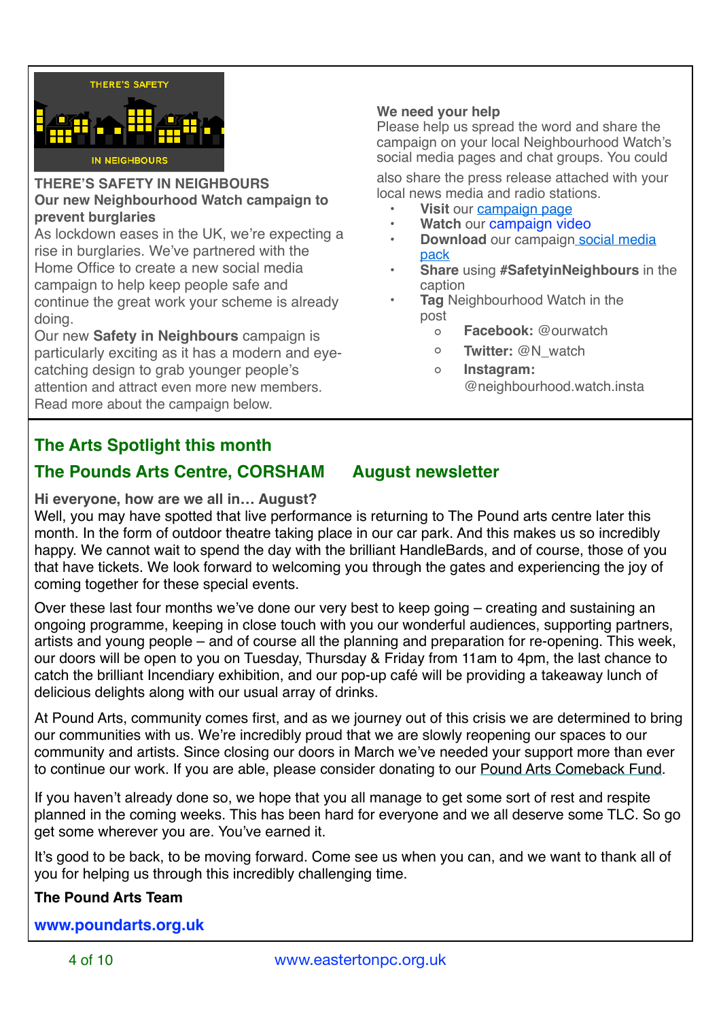

### **THERE'S SAFETY IN NEIGHBOURS Our new Neighbourhood Watch campaign to prevent burglaries**

As lockdown eases in the UK, we're expecting a rise in burglaries. We've partnered with the Home Office to create a new social media campaign to help keep people safe and continue the great work your scheme is already doing.

Our new **Safety in Neighbours** campaign is particularly exciting as it has a modern and eyecatching design to grab younger people's attention and attract even more new members. Read more about the campaign below.

### **We need your help**

Please help us spread the word and share the campaign on your local Neighbourhood Watch's social media pages and chat groups. You could

also share the press release attached with your local news media and radio stations.

- **• Visit** our [campaign page](https://www.ourwatch.org.uk/get-involved/support-campaign/safety-neighbours-campaign)
- **• Watch** our [campaign video](https://youtu.be/wGtadtgJKQU)
- **Download** our campaign social media [pack](https://www.ourwatch.org.uk/sites/default/files/documents/2020-07/Safety%20in%20Neighbours%20Campaign%20Social%20Pack.pdf)
- **• Share** using **#SafetyinNeighbours** in the caption
- **• Tag** Neighbourhood Watch in the post
	- **◦ Facebook:** @ourwatch
	- **◦ Twitter:** @N\_watch
	- **◦ Instagram:**  @neighbourhood.watch.insta

### **The Arts Spotlight this month**

### **The Pounds Arts Centre, CORSHAM August newsletter**

**Hi everyone, how are we all in… August?**

Well, you may have spotted that live performance is returning to The Pound arts centre later this month. In the form of outdoor theatre taking place in our car park. And this makes us so incredibly happy. We cannot wait to spend the day with the brilliant HandleBards, and of course, those of you that have tickets. We look forward to welcoming you through the gates and experiencing the joy of coming together for these special events.

Over these last four months we've done our very best to keep going – creating and sustaining an ongoing programme, keeping in close touch with you our wonderful audiences, supporting partners, artists and young people – and of course all the planning and preparation for re-opening. This week, our doors will be open to you on Tuesday, Thursday & Friday from 11am to 4pm, the last chance to catch the brilliant Incendiary exhibition, and our pop-up café will be providing a takeaway lunch of delicious delights along with our usual array of drinks.

At Pound Arts, community comes first, and as we journey out of this crisis we are determined to bring our communities with us. We're incredibly proud that we are slowly reopening our spaces to our community and artists. Since closing our doors in March we've needed your support more than ever to continue our work. If you are able, please consider donating to our [Pound Arts Comeback Fund.](https://poundarts.us4.list-manage.com/track/click?u=85b69fea5a8b2ac4130f50342&id=5d2c4e445d&e=26b18e6361)

If you haven't already done so, we hope that you all manage to get some sort of rest and respite planned in the coming weeks. This has been hard for everyone and we all deserve some TLC. So go get some wherever you are. You've earned it.

It's good to be back, to be moving forward. Come see us when you can, and we want to thank all of you for helping us through this incredibly challenging time.

### **The Pound Arts Team**

**[www.poundarts.org.uk](http://www.poundarts.org.uk)**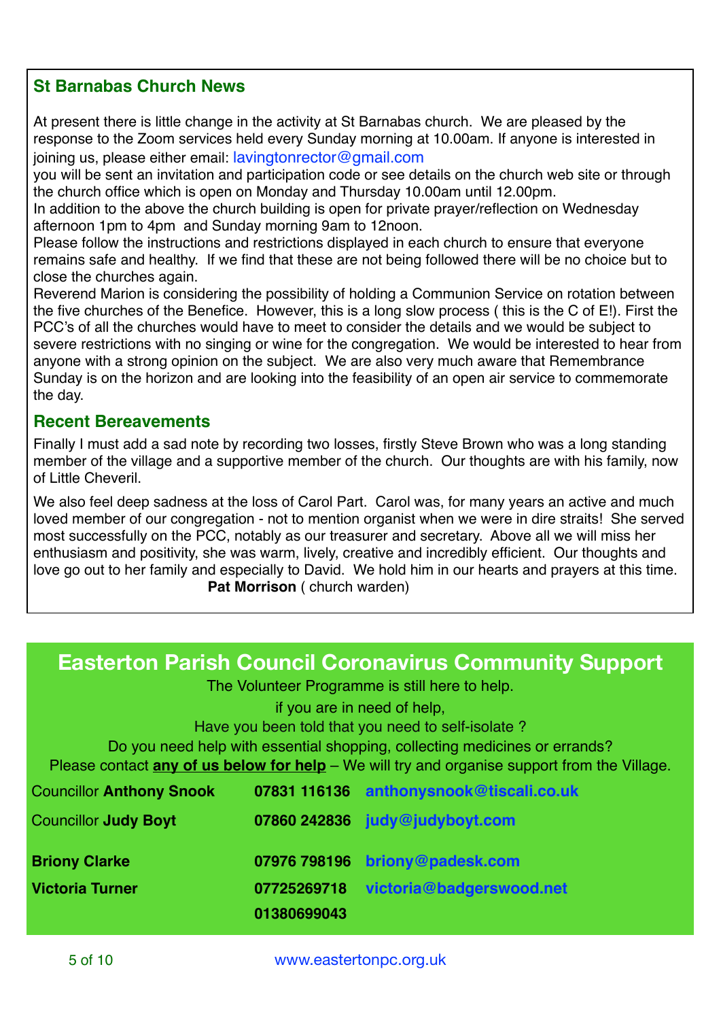### **St Barnabas Church News**

At present there is little change in the activity at St Barnabas church. We are pleased by the response to the Zoom services held every Sunday morning at 10.00am. If anyone is interested in joining us, please either email[: lavingtonrector@gmail.com](mailto:no_reply@apple.com)

you will be sent an invitation and participation code or see details on the church web site or through the church office which is open on Monday and Thursday 10.00am until 12.00pm.

In addition to the above the church building is open for private prayer/reflection on Wednesday afternoon 1pm to 4pm and Sunday morning 9am to 12noon.

Please follow the instructions and restrictions displayed in each church to ensure that everyone remains safe and healthy. If we find that these are not being followed there will be no choice but to close the churches again.

Reverend Marion is considering the possibility of holding a Communion Service on rotation between the five churches of the Benefice. However, this is a long slow process ( this is the C of E!). First the PCC's of all the churches would have to meet to consider the details and we would be subject to severe restrictions with no singing or wine for the congregation. We would be interested to hear from anyone with a strong opinion on the subject. We are also very much aware that Remembrance Sunday is on the horizon and are looking into the feasibility of an open air service to commemorate the day.

### **Recent Bereavements**

Finally I must add a sad note by recording two losses, firstly Steve Brown who was a long standing member of the village and a supportive member of the church. Our thoughts are with his family, now of Little Cheveril.

We also feel deep sadness at the loss of Carol Part. Carol was, for many years an active and much loved member of our congregation - not to mention organist when we were in dire straits! She served most successfully on the PCC, notably as our treasurer and secretary. Above all we will miss her enthusiasm and positivity, she was warm, lively, creative and incredibly efficient. Our thoughts and love go out to her family and especially to David. We hold him in our hearts and prayers at this time. **Pat Morrison** ( church warden)

# **Easterton Parish Council Coronavirus Community Support**

The Volunteer Programme is still here to help.

if you are in need of help, Have you been told that you need to self-isolate ? Do you need help with essential shopping, collecting medicines or errands? Please contact **any of us below for help** – We will try and organise support from the Village. Councillor **Anthony Snook 07831 116136 [anthonysnook@tiscali.co.uk](mailto:anthonysnook@tiscali.co.uk)** Councillor **Judy Boyt 07860 242836 [judy@judyboyt.com](mailto:judy@judyboyt.com) Briony Clarke 07976 798196 [briony@padesk.com](mailto:briony@padesk.com)**

**01380699043**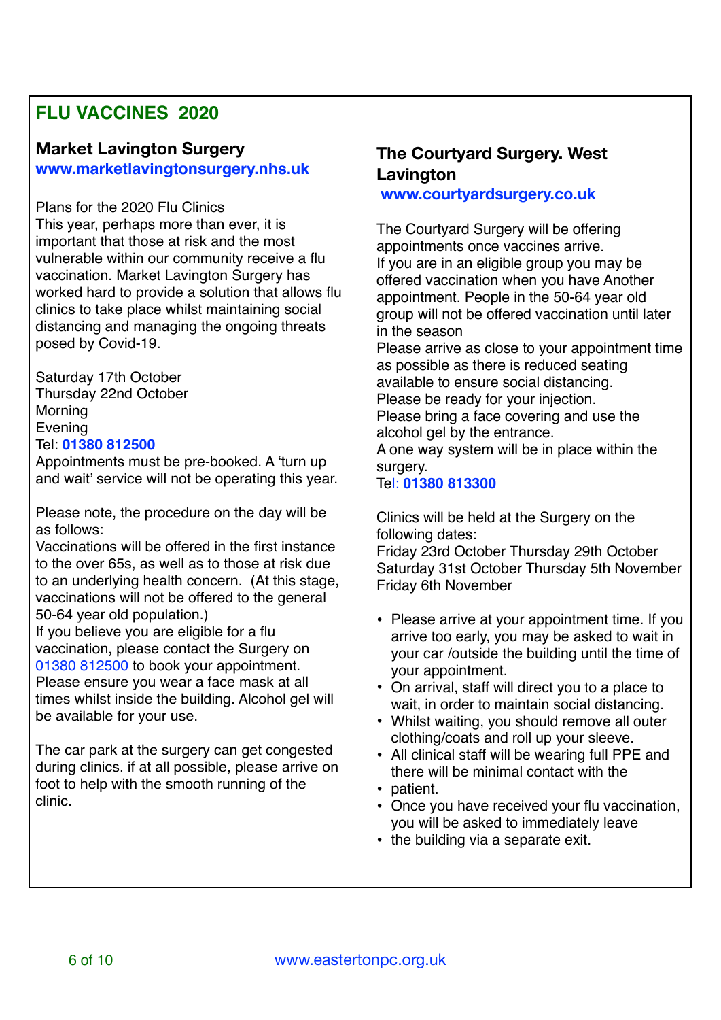# **FLU VACCINES 2020**

# **Market Lavington Surgery**

**[www.marketlavingtonsurgery.nhs.uk](http://www.marketlavingtonsurgery.nhs.uk)**

### Plans for the 2020 Flu Clinics

This year, perhaps more than ever, it is important that those at risk and the most vulnerable within our community receive a flu vaccination. Market Lavington Surgery has worked hard to provide a solution that allows flu clinics to take place whilst maintaining social distancing and managing the ongoing threats posed by Covid-19.

Saturday 17th October Thursday 22nd October Morning Evening Tel: **01380 812500**

Appointments must be pre-booked. A 'turn up and wait' service will not be operating this year.

Please note, the procedure on the day will be as follows:

Vaccinations will be offered in the first instance to the over 65s, as well as to those at risk due to an underlying health concern. (At this stage, vaccinations will not be offered to the general 50-64 year old population.)

If you believe you are eligible for a flu vaccination, please contact the Surgery on 01380 812500 to book your appointment.

Please ensure you wear a face mask at all times whilst inside the building. Alcohol gel will be available for your use.

The car park at the surgery can get congested during clinics. if at all possible, please arrive on foot to help with the smooth running of the clinic.

### **The Courtyard Surgery. West Lavington**

**[www.courtyardsurgery.co.uk](http://www.courtyardsurgery.co.uk)**

The Courtyard Surgery will be offering appointments once vaccines arrive. If you are in an eligible group you may be offered vaccination when you have Another appointment. People in the 50-64 year old group will not be offered vaccination until later in the season

Please arrive as close to your appointment time as possible as there is reduced seating available to ensure social distancing. Please be ready for your injection.

Please bring a face covering and use the alcohol gel by the entrance.

A one way system will be in place within the surgery.

### Tel: **01380 813300**

Clinics will be held at the Surgery on the following dates:

Friday 23rd October Thursday 29th October Saturday 31st October Thursday 5th November Friday 6th November

- Please arrive at your appointment time. If you arrive too early, you may be asked to wait in your car /outside the building until the time of your appointment.
- On arrival, staff will direct you to a place to wait, in order to maintain social distancing.
- Whilst waiting, you should remove all outer clothing/coats and roll up your sleeve.
- All clinical staff will be wearing full PPE and there will be minimal contact with the
- patient.
- Once you have received your flu vaccination, you will be asked to immediately leave
- the building via a separate exit.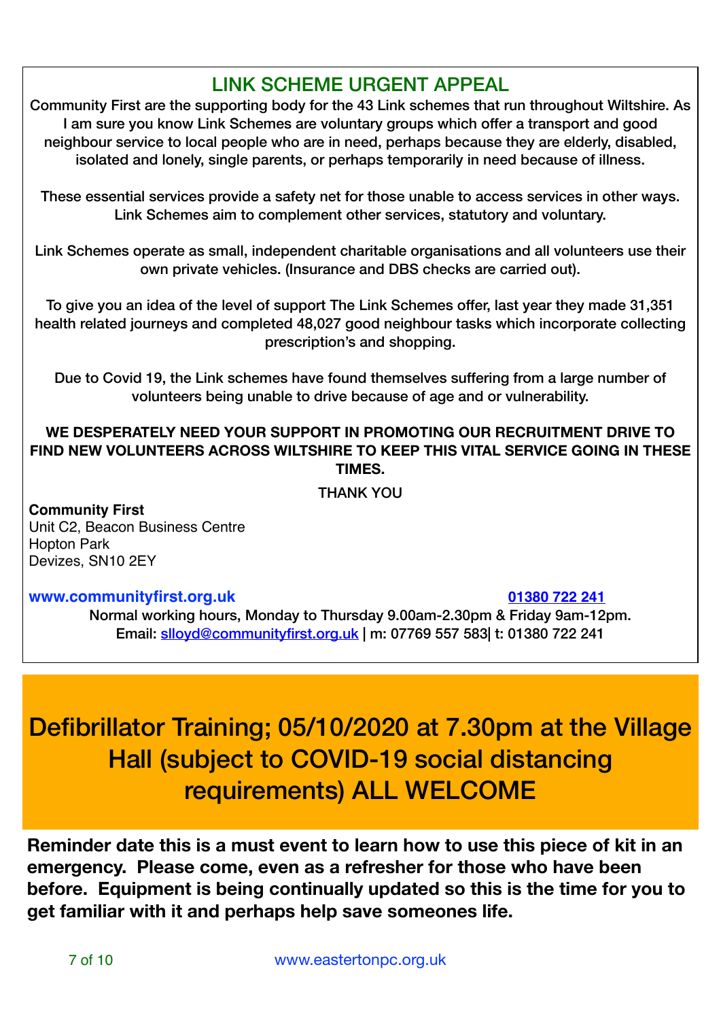# LINK SCHEME URGENT APPEAL

Community First are the supporting body for the 43 Link schemes that run throughout Wiltshire. As I am sure you know Link Schemes are voluntary groups which offer a transport and good neighbour service to local people who are in need, perhaps because they are elderly, disabled, isolated and lonely, single parents, or perhaps temporarily in need because of illness.

These essential services provide a safety net for those unable to access services in other ways. Link Schemes aim to complement other services, statutory and voluntary.

Link Schemes operate as small, independent charitable organisations and all volunteers use their own private vehicles. (Insurance and DBS checks are carried out).

To give you an idea of the level of support The Link Schemes offer, last year they made 31,351 health related journeys and completed 48,027 good neighbour tasks which incorporate collecting prescription's and shopping.

Due to Covid 19, the Link schemes have found themselves suffering from a large number of volunteers being unable to drive because of age and or vulnerability.

**WE DESPERATELY NEED YOUR SUPPORT IN PROMOTING OUR RECRUITMENT DRIVE TO FIND NEW VOLUNTEERS ACROSS WILTSHIRE TO KEEP THIS VITAL SERVICE GOING IN THESE TIMES.** 

THANK YOU

**Community First** Unit C2, Beacon Business Centre Hopton Park Devizes, SN10 2EY

### **[www.communityfirst.org.uk](http://www.communityfirst.org.uk/) 01380 722 241**

Normal working hours, Monday to Thursday 9.00am-2.30pm & Friday 9am-12pm. Email: [slloyd@communityfirst.org.uk](mailto:slloyd@communityfirst.org.uk) | m: 07769 557 583| t: 01380 722 241

# Defibrillator Training; 05/10/2020 at 7.30pm at the Village Hall (subject to COVID-19 social distancing requirements) ALL WELCOME

**Reminder date this is a must event to learn how to use this piece of kit in an emergency. Please come, even as a refresher for those who have been before. Equipment is being continually updated so this is the time for you to get familiar with it and perhaps help save someones life.**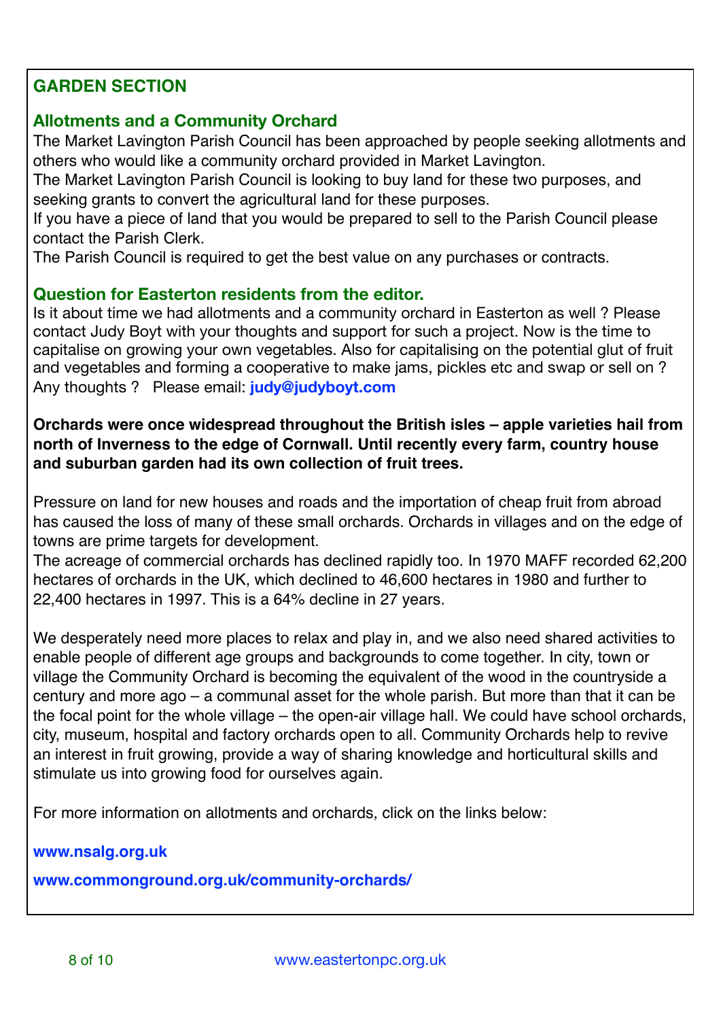### **GARDEN SECTION**

### **Allotments and a Community Orchard**

The Market Lavington Parish Council has been approached by people seeking allotments and others who would like a community orchard provided in Market Lavington.

The Market Lavington Parish Council is looking to buy land for these two purposes, and seeking grants to convert the agricultural land for these purposes.

If you have a piece of land that you would be prepared to sell to the Parish Council please contact the Parish Clerk.

The Parish Council is required to get the best value on any purchases or contracts.

### **Question for Easterton residents from the editor.**

Is it about time we had allotments and a community orchard in Easterton as well ? Please contact Judy Boyt with your thoughts and support for such a project. Now is the time to capitalise on growing your own vegetables. Also for capitalising on the potential glut of fruit and vegetables and forming a cooperative to make jams, pickles etc and swap or sell on ? Any thoughts ? Please email: **[judy@judyboyt.com](mailto:judy@judyboyt.com)**

### **Orchards were once widespread throughout the British isles – apple varieties hail from north of Inverness to the edge of Cornwall. Until recently every farm, country house and suburban garden had its own collection of fruit trees.**

Pressure on land for new houses and roads and the importation of cheap fruit from abroad has caused the loss of many of these small orchards. Orchards in villages and on the edge of towns are prime targets for development.

The acreage of commercial orchards has declined rapidly too. In 1970 MAFF recorded 62,200 hectares of orchards in the UK, which declined to 46,600 hectares in 1980 and further to 22,400 hectares in 1997. This is a 64% decline in 27 years.

We desperately need more places to relax and play in, and we also need shared activities to enable people of different age groups and backgrounds to come together. In city, town or village the Community Orchard is becoming the equivalent of the wood in the countryside a century and more ago – a communal asset for the whole parish. But more than that it can be the focal point for the whole village – the open-air village hall. We could have school orchards, city, museum, hospital and factory orchards open to all. Community Orchards help to revive an interest in fruit growing, provide a way of sharing knowledge and horticultural skills and stimulate us into growing food for ourselves again.

For more information on allotments and orchards, click on the links below:

**[www.nsalg.org.uk](http://www.nsalg.org.uk)**

**[www.commonground.org.uk/community-orchards/](https://www.commonground.org.uk/community-orchards/)**